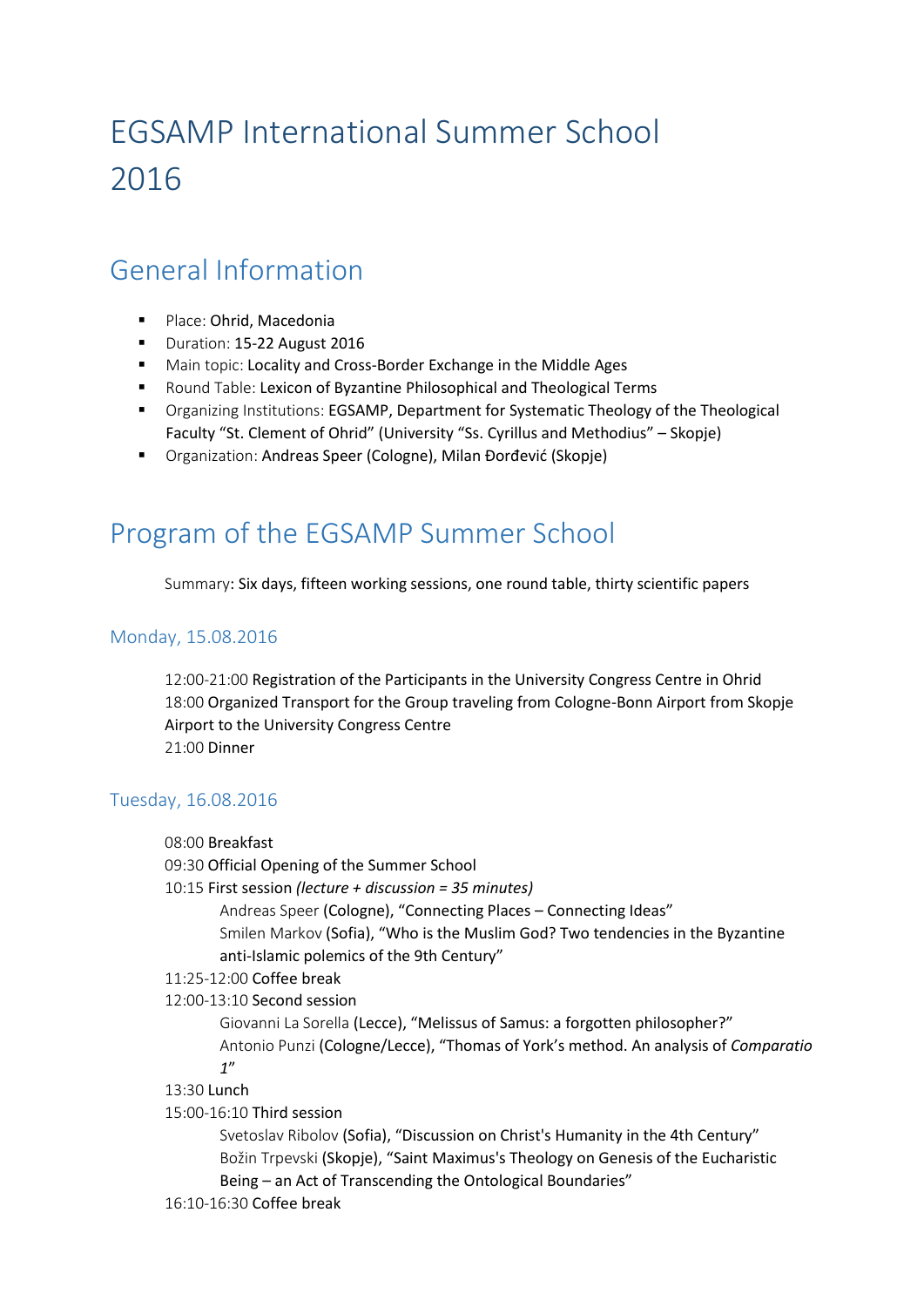# EGSAMP International Summer School 2016

# General Information

- Place: Ohrid, Macedonia
- Duration: 15-22 August 2016
- **Main topic: Locality and Cross-Border Exchange in the Middle Ages**
- Round Table: Lexicon of Byzantine Philosophical and Theological Terms
- **•** Organizing Institutions: EGSAMP, Department for Systematic Theology of the Theological Faculty "St. Clement of Ohrid" (University "Ss. Cyrillus and Methodius" – Skopje)
- Organization: Andreas Speer (Cologne), Milan Đorđević (Skopje)

# Program of the EGSAMP Summer School

Summary: Six days, fifteen working sessions, one round table, thirty scientific papers

#### Monday, 15.08.2016

12:00-21:00 Registration of the Participants in the University Congress Centre in Ohrid 18:00 Organized Transport for the Group traveling from Cologne-Bonn Airport from Skopje Airport to the University Congress Centre 21:00 Dinner

### Tuesday, 16.08.2016

| 08:00 Breakfast                                                                    |
|------------------------------------------------------------------------------------|
| 09:30 Official Opening of the Summer School                                        |
| 10:15 First session (lecture + discussion = 35 minutes)                            |
| Andreas Speer (Cologne), "Connecting Places - Connecting Ideas"                    |
| Smilen Markov (Sofia), "Who is the Muslim God? Two tendencies in the Byzantine     |
| anti-Islamic polemics of the 9th Century"                                          |
| 11:25-12:00 Coffee break                                                           |
| 12:00-13:10 Second session                                                         |
| Giovanni La Sorella (Lecce), "Melissus of Samus: a forgotten philosopher?"         |
| Antonio Punzi (Cologne/Lecce), "Thomas of York's method. An analysis of Comparatio |
| 1"                                                                                 |
| 13:30 Lunch                                                                        |
| $15:00-16:10$ Third session                                                        |
| Svetoslav Ribolov (Sofia), "Discussion on Christ's Humanity in the 4th Century"    |
| Božin Trpevski (Skopje), "Saint Maximus's Theology on Genesis of the Eucharistic   |
| Being – an Act of Transcending the Ontological Boundaries"                         |

16:10-16:30 Coffee break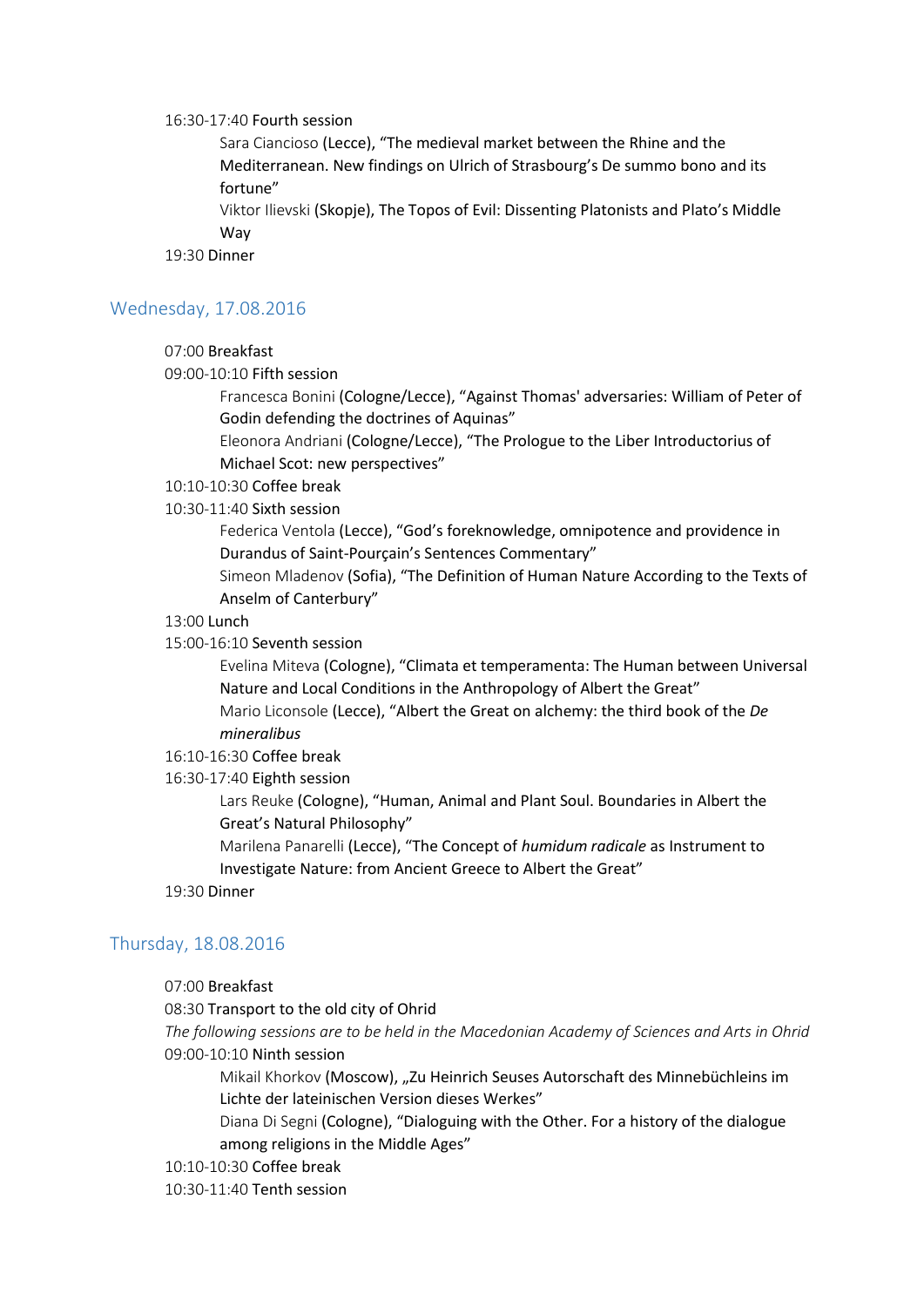#### 16:30-17:40 Fourth session

Sara Ciancioso (Lecce), "The medieval market between the Rhine and the Mediterranean. New findings on Ulrich of Strasbourg's De summo bono and its fortune"

Viktor Ilievski (Skopje), The Topos of Evil: Dissenting Platonists and Plato's Middle Way

19:30 Dinner

#### Wednesday, 17.08.2016

- 07:00 Breakfast
- 09:00-10:10 Fifth session

Francesca Bonini (Cologne/Lecce), "Against Thomas' adversaries: William of Peter of Godin defending the doctrines of Aquinas"

Eleonora Andriani (Cologne/Lecce), "The Prologue to the Liber Introductorius of Michael Scot: new perspectives"

- 10:10-10:30 Coffee break
- 10:30-11:40 Sixth session

Federica Ventola (Lecce), "God's foreknowledge, omnipotence and providence in Durandus of Saint-Pourçain's Sentences Commentary"

Simeon Mladenov (Sofia), "The Definition of Human Nature According to the Texts of Anselm of Canterbury"

#### 13:00 Lunch

15:00-16:10 Seventh session

Evelina Miteva (Cologne), "Climata et temperamenta: The Human between Universal Nature and Local Conditions in the Anthropology of Albert the Great" Mario Liconsole (Lecce), "Albert the Great on alchemy: the third book of the *De* 

*mineralibus*

- 16:10-16:30 Coffee break
- 16:30-17:40 Eighth session

Lars Reuke (Cologne), "Human, Animal and Plant Soul. Boundaries in Albert the Great's Natural Philosophy"

Marilena Panarelli (Lecce), "The Concept of *humidum radicale* as Instrument to Investigate Nature: from Ancient Greece to Albert the Great"

19:30 Dinner

#### Thursday, 18.08.2016

- 07:00 Breakfast
- 08:30 Transport to the old city of Ohrid

*The following sessions are to be held in the Macedonian Academy of Sciences and Arts in Ohrid* 09:00-10:10 Ninth session

Mikail Khorkov (Moscow), "Zu Heinrich Seuses Autorschaft des Minnebüchleins im Lichte der lateinischen Version dieses Werkes"

Diana Di Segni (Cologne), "Dialoguing with the Other. For a history of the dialogue among religions in the Middle Ages"

- 10:10-10:30 Coffee break
- 10:30-11:40 Tenth session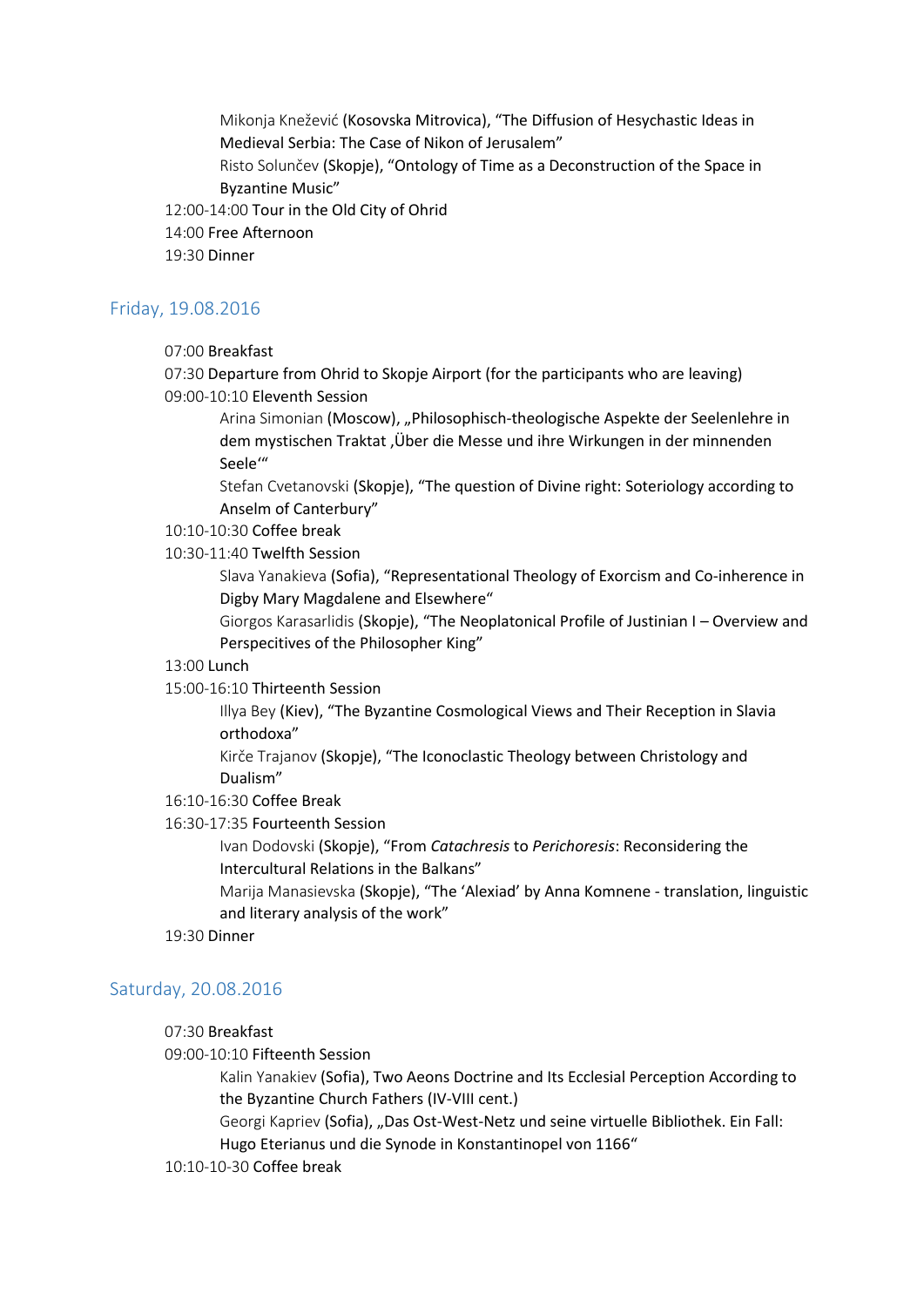Mikonja Knežević (Kosovska Mitrovica), "The Diffusion of Hesychastic Ideas in Medieval Serbia: The Case of Nikon of Jerusalem"

Risto Solunčev (Skopje), "Ontology of Time as a Deconstruction of the Space in Byzantine Music"

12:00-14:00 Tour in the Old City of Ohrid

14:00 Free Afternoon

19:30 Dinner

#### Friday, 19.08.2016

07:00 Breakfast

07:30 Departure from Ohrid to Skopje Airport (for the participants who are leaving) 09:00-10:10 Eleventh Session

Arina Simonian (Moscow), "Philosophisch-theologische Aspekte der Seelenlehre in dem mystischen Traktat, Über die Messe und ihre Wirkungen in der minnenden Seele'"

Stefan Cvetanovski (Skopje), "The question of Divine right: Soteriology according to Anselm of Canterbury"

- 10:10-10:30 Coffee break
- 10:30-11:40 Twelfth Session

Slava Yanakieva (Sofia), "Representational Theology of Exorcism and Co-inherence in Digby Mary Magdalene and Elsewhere"

Giorgos Karasarlidis (Skopje), "The Neoplatonical Profile of Justinian I – Overview and Perspecitives of the Philosopher King"

- 13:00 Lunch
- 15:00-16:10 Thirteenth Session

Illya Bey (Kiev), "The Byzantine Cosmological Views and Their Reception in Slavia orthodoxa"

Kirče Trajanov (Skopje), "The Iconoclastic Theology between Christology and Dualism"

- 16:10-16:30 Coffee Break
- 16:30-17:35 Fourteenth Session

Ivan Dodovski (Skopje), "From *Catachresis* to *Perichoresis*: Reconsidering the Intercultural Relations in the Balkans"

Marija Manasievska (Skopje), "The 'Alexiad' by Anna Komnene - translation, linguistic and literary analysis of the work"

19:30 Dinner

#### Saturday, 20.08.2016

- 07:30 Breakfast
- 09:00-10:10 Fifteenth Session

Kalin Yanakiev (Sofia), Two Aeons Doctrine and Its Ecclesial Perception According to the Byzantine Church Fathers (IV-VIII cent.)

Georgi Kapriev (Sofia), "Das Ost-West-Netz und seine virtuelle Bibliothek. Ein Fall: Hugo Eterianus und die Synode in Konstantinopel von 1166"

10:10-10-30 Coffee break